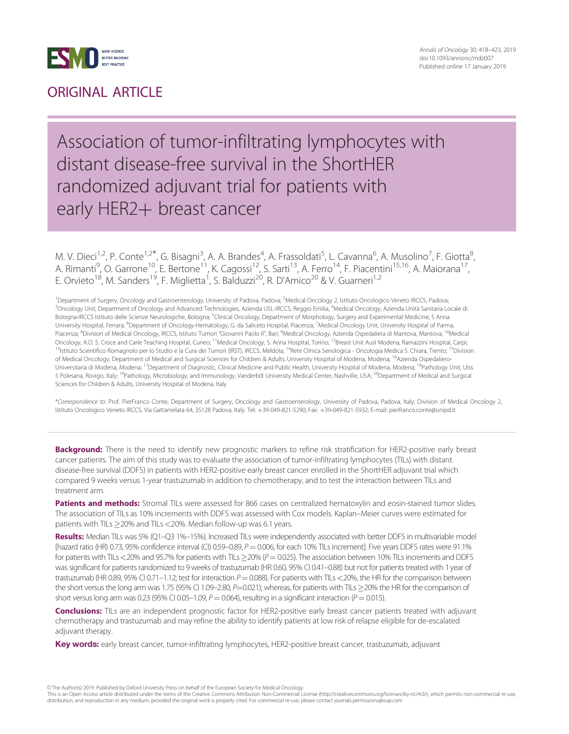

### ORIGINAL ARTICLE

### Association of tumor-infiltrating lymphocytes with distant disease-free survival in the ShortHER randomized adjuvant trial for patients with early HER2+ breast cancer

M. V. Dieci<sup>1,2</sup>, P. Conte<sup>1,2\*</sup>, G. Bisagni<sup>3</sup>, A. A. Brandes<sup>4</sup>, A. Frassoldati<sup>5</sup>, L. Cavanna<sup>6</sup>, A. Musolino<sup>7</sup>, F. Giotta<sup>8</sup> , A. Rimanti<sup>9</sup>, O. Garrone<sup>10</sup>, E. Bertone<sup>11</sup>, K. Cagossi<sup>12</sup>, S. Sarti<sup>13</sup>, A. Ferro<sup>14</sup>, F. Piacentini<sup>15,16</sup>, A. Maiorana<sup>17</sup>, E. Orvieto<sup>18</sup>, M. Sanders<sup>19</sup>, F. Miglietta<sup>1</sup>, S. Balduzzi<sup>20</sup>, R. D'Amico<sup>20</sup> & V. Guarneri<sup>1,2</sup>

<sup>1</sup> Department of Surgery, Oncology and Gastroenterology, University of Padova, Padova; <sup>2</sup>Medical Oncology 2, Istituto Oncologico Veneto IRCCS, Padova, <sup>3</sup>Oncology Unit, Department of Oncology and Advanced Technologies, Azienda USL-IRCCS, Reggio Emilia; <sup>4</sup>Medical Oncology, Azienda Unità Sanitaria Locale di Bologna-IRCCS Istituto delle Scienze Neurologiche, Bologna; <sup>5</sup>Clinical Oncology, Department of Morphology, Surgery and Experimental Medicine, S Anna University Hospital, Ferrara; <sup>6</sup>Department of Oncology-Hematology, G. da Saliceto Hospital, Piacenza; <sup>7</sup>Medical Oncology Unit, University Hospital of Parma, Piacenza; <sup>8</sup>Division of Medical Oncology, IRCCS, Istituto Tumori "Giovanni Paolo II", Bari; <sup>9</sup>Medical Oncology, Azienda Ospedaliera di Mantova, Mantova; <sup>10</sup>Medical Oncology, A.O. S. Croce and Carle Teaching Hospital, Cuneo; <sup>11</sup>Medical Oncology, S. Anna Hospital, Torino; <sup>12</sup>Breast Unit Ausl Modena, Ramazzini Hospital, Carpi; <sup>13</sup>Istituto Scientifico Romagnolo per lo Studio e la Cura dei Tumori (IRST), IRCCS, Meldola; <sup>14</sup>Rete Clinica Senologica - Oncologia Medica S. Chiara, Trento; <sup>15</sup>Division of Medical Oncology, Department of Medical and Surgical Sciences for Children & Adults, University Hospital of Modena, Modena; <sup>16</sup>Azienda Ospedaliero-Universitaria di Modena, Modena; <sup>17</sup>Department of Diagnostic, Clinical Medicine and Public Health, University Hospital of Modena, Modena; <sup>18</sup>Pathology Unit, Ulss 5 Polesana, Rovigo, Italy; <sup>19</sup>Pathology, Microbiology, and Immunology, Vanderbilt University Medical Center, Nashville, USA; <sup>20</sup>Department of Medical and Surgical Sciences for Children & Adults, University Hospital of Modena, Italy

\*Correspondence to: Prof. PierFranco Conte, Department of Surgery, Oncology and Gastroenterology, University of Padova, Padova, Italy; Division of Medical Oncology 2, Istituto Oncologico Veneto IRCCS, Via Gattamelata 64, 35128 Padova, Italy. Tel: +39-049-821-5290; Fax: +39-049-821-5932; E-mail: pierfranco.conte@unipd.it

Background: There is the need to identify new prognostic markers to refine risk stratification for HER2-positive early breast cancer patients. The aim of this study was to evaluate the association of tumor-infiltrating lymphocytes (TILs) with distant disease-free survival (DDFS) in patients with HER2-positive early breast cancer enrolled in the ShortHER adjuvant trial which compared 9 weeks versus 1-year trastuzumab in addition to chemotherapy, and to test the interaction between TILs and treatment arm.

Patients and methods: Stromal TILs were assessed for 866 cases on centralized hematoxylin and eosin-stained tumor slides. The association of TILs as 10% increments with DDFS was assessed with Cox models. Kaplan–Meier curves were estimated for patients with TILs  $\geq$ 20% and TILs < 20%. Median follow-up was 6.1 years.

Results: Median TILs was 5% (Q1-Q3 1%-15%). Increased TILs were independently associated with better DDFS in multivariable model [hazard ratio (HR) 0.73, 95% confidence interval (CI) 0.59-0.89,  $P = 0.006$ , for each 10% TILs increment]. Five years DDFS rates were 91.1% for patients with TILs <20% and 95.7% for patients with TILs  $\geq$ 20% (P = 0.025). The association between 10% TILs increments and DDFS was significant for patients randomized to 9 weeks of trastuzumab (HR 0.60, 95% CI 0.41-0.88) but not for patients treated with 1 year of trastuzumab (HR 0.89, 95% CI 0.71–1.12; test for interaction  $P = 0.088$ ). For patients with TILs < 20%, the HR for the comparison between the short versus the long arm was 1.75 (95% CI 1.09–2.80, P=0.021); whereas, for patients with TILs  $\geq$ 20% the HR for the comparison of short versus long arm was 0.23 (95% CI 0.05–1.09, P = 0.064), resulting in a significant interaction (P = 0.015).

Conclusions: TILs are an independent prognostic factor for HER2-positive early breast cancer patients treated with adjuvant chemotherapy and trastuzumab and may refine the ability to identify patients at low risk of relapse eligible for de-escalated adjuvant therapy.

Key words: early breast cancer, tumor-infiltrating lymphocytes, HER2-positive breast cancer, trastuzumab, adjuvant

<sup>©</sup> The Author(s) 2019. Published by Oxford University Press on behalf of the European Society for Medical Oncology

This is an Open Access article distributed under the terms of the Creative Commons Attribution Non-Commercial License (http://creativecommons.org/licenses/by-nc/4.0/), which permits non-commercial re-use, distribution, and reproduction in any medium, provided the original work is properly cited. For commercial re-use, please contact journals.permissions@oup.com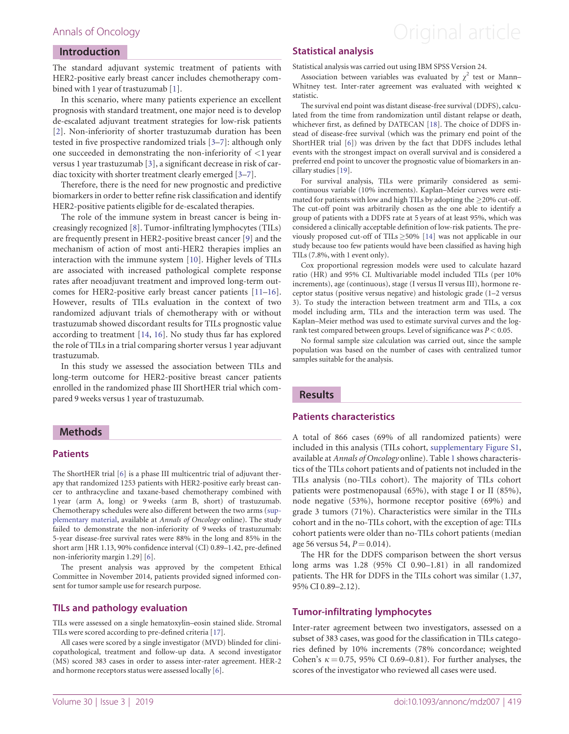### <span id="page-1-0"></span>Annals of Oncology **Annals of Oncology Annal article**

#### Introduction

The standard adjuvant systemic treatment of patients with HER2-positive early breast cancer includes chemotherapy combined with 1 year of trastuzumab [[1](#page-4-0)].

In this scenario, where many patients experience an excellent prognosis with standard treatment, one major need is to develop de-escalated adjuvant treatment strategies for low-risk patients [\[2\]](#page-4-0). Non-inferiority of shorter trastuzumab duration has been tested in five prospective randomized trials [\[3–](#page-4-0)[7](#page-5-0)]: although only one succeeded in demonstrating the non-inferiority of  $\langle 1 \rangle$  year versus 1 year trastuzumab [\[3](#page-4-0)], a significant decrease in risk of cardiac toxicity with shorter treatment clearly emerged [\[3–](#page-4-0)[7](#page-5-0)].

Therefore, there is the need for new prognostic and predictive biomarkers in order to better refine risk classification and identify HER2-positive patients eligible for de-escalated therapies.

The role of the immune system in breast cancer is being increasingly recognized [[8](#page-5-0)]. Tumor-infiltrating lymphocytes (TILs) are frequently present in HER2-positive breast cancer [\[9](#page-5-0)] and the mechanism of action of most anti-HER2 therapies implies an interaction with the immune system [\[10](#page-5-0)]. Higher levels of TILs are associated with increased pathological complete response rates after neoadjuvant treatment and improved long-term outcomes for HER2-positive early breast cancer patients [\[11](#page-5-0)–[16](#page-5-0)]. However, results of TILs evaluation in the context of two randomized adjuvant trials of chemotherapy with or without trastuzumab showed discordant results for TILs prognostic value according to treatment [[14,](#page-5-0) [16\]](#page-5-0). No study thus far has explored the role of TILs in a trial comparing shorter versus 1 year adjuvant trastuzumab.

In this study we assessed the association between TILs and long-term outcome for HER2-positive breast cancer patients enrolled in the randomized phase III ShortHER trial which compared 9 weeks versus 1 year of trastuzumab.

#### Methods

#### **Patients**

The ShortHER trial [\[6](#page-5-0)] is a phase III multicentric trial of adjuvant therapy that randomized 1253 patients with HER2-positive early breast cancer to anthracycline and taxane-based chemotherapy combined with 1 year (arm A, long) or 9 weeks (arm B, short) of trastuzumab. Chemotherapy schedules were also different between the two arms ([sup](https://academic.oup.com/annonc/article-lookup/doi/10.1093/annonc/mdz007#supplementary-data)[plementary material](https://academic.oup.com/annonc/article-lookup/doi/10.1093/annonc/mdz007#supplementary-data), available at Annals of Oncology online). The study failed to demonstrate the non-inferiority of 9 weeks of trastuzumab: 5-year disease-free survival rates were 88% in the long and 85% in the short arm [HR 1.13, 90% confidence interval (CI) 0.89–1.42, pre-defined non-inferiority margin 1.29] [\[6](#page-5-0)].

The present analysis was approved by the competent Ethical Committee in November 2014, patients provided signed informed consent for tumor sample use for research purpose.

#### TILs and pathology evaluation

TILs were assessed on a single hematoxylin–eosin stained slide. Stromal TILs were scored according to pre-defined criteria [\[17](#page-5-0)].

All cases were scored by a single investigator (MVD) blinded for clinicopathological, treatment and follow-up data. A second investigator (MS) scored 383 cases in order to assess inter-rater agreement. HER-2 and hormone receptors status were assessed locally [[6\]](#page-5-0).

### Statistical analysis

Statistical analysis was carried out using IBM SPSS Version 24.

Association between variables was evaluated by  $\chi^2$  test or Mann– Whitney test. Inter-rater agreement was evaluated with weighted  $\kappa$ statistic.

The survival end point was distant disease-free survival (DDFS), calculated from the time from randomization until distant relapse or death, whichever first, as defined by DATECAN [[18\]](#page-5-0). The choice of DDFS instead of disease-free survival (which was the primary end point of the ShortHER trial [\[6](#page-5-0)]) was driven by the fact that DDFS includes lethal events with the strongest impact on overall survival and is considered a preferred end point to uncover the prognostic value of biomarkers in ancillary studies [[19\]](#page-5-0).

For survival analysis, TILs were primarily considered as semicontinuous variable (10% increments). Kaplan–Meier curves were estimated for patients with low and high TILs by adopting the  $\geq$ 20% cut-off. The cut-off point was arbitrarily chosen as the one able to identify a group of patients with a DDFS rate at 5 years of at least 95%, which was considered a clinically acceptable definition of low-risk patients. The previously proposed cut-off of TILs  $\geq$ 50% [[14\]](#page-5-0) was not applicable in our study because too few patients would have been classified as having high TILs (7.8%, with 1 event only).

Cox proportional regression models were used to calculate hazard ratio (HR) and 95% CI. Multivariable model included TILs (per 10% increments), age (continuous), stage (I versus II versus III), hormone receptor status (positive versus negative) and histologic grade (1–2 versus 3). To study the interaction between treatment arm and TILs, a cox model including arm, TILs and the interaction term was used. The Kaplan–Meier method was used to estimate survival curves and the logrank test compared between groups. Level of significance was  $P < 0.05$ .

No formal sample size calculation was carried out, since the sample population was based on the number of cases with centralized tumor samples suitable for the analysis.

#### **Results**

#### Patients characteristics

A total of 866 cases (69% of all randomized patients) were included in this analysis (TILs cohort, [supplementary Figure S1,](https://academic.oup.com/annonc/article-lookup/doi/10.1093/annonc/mdz007#supplementary-data) available at Annals of Oncology online). Table [1](#page-2-0) shows characteristics of the TILs cohort patients and of patients not included in the TILs analysis (no-TILs cohort). The majority of TILs cohort patients were postmenopausal (65%), with stage I or II (85%), node negative (53%), hormone receptor positive (69%) and grade 3 tumors (71%). Characteristics were similar in the TILs cohort and in the no-TILs cohort, with the exception of age: TILs cohort patients were older than no-TILs cohort patients (median age 56 versus 54,  $P = 0.014$ ).

The HR for the DDFS comparison between the short versus long arms was 1.28 (95% CI 0.90–1.81) in all randomized patients. The HR for DDFS in the TILs cohort was similar (1.37, 95% CI 0.89–2.12).

#### Tumor-infiltrating lymphocytes

Inter-rater agreement between two investigators, assessed on a subset of 383 cases, was good for the classification in TILs categories defined by 10% increments (78% concordance; weighted Cohen's  $\kappa = 0.75$ , 95% CI 0.69–0.81). For further analyses, the scores of the investigator who reviewed all cases were used.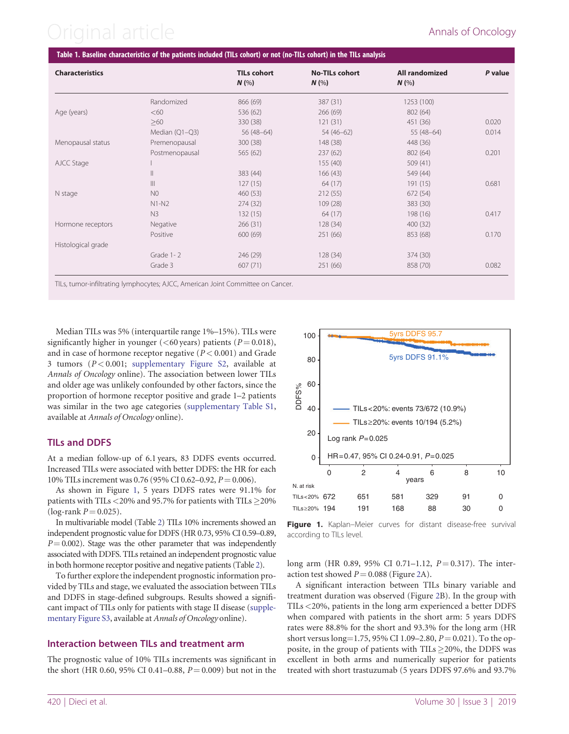# <span id="page-2-0"></span>Original article Annals of Oncology

| <b>Characteristics</b> |                  | <b>TILs cohort</b><br>$N$ (%) | <b>No-TILs cohort</b><br>$N$ (%) | <b>All randomized</b><br>N(% | P value |
|------------------------|------------------|-------------------------------|----------------------------------|------------------------------|---------|
|                        | Randomized       | 866 (69)                      | 387 (31)                         | 1253 (100)                   |         |
| Age (years)            | <60              | 536 (62)                      | 266 (69)                         | 802 (64)                     |         |
|                        | >60              | 330 (38)                      | 121(31)                          | 451 (36)                     | 0.020   |
|                        | Median $(Q1-Q3)$ | $56(48-64)$                   | $54(46-62)$                      | $55(48-64)$                  | 0.014   |
| Menopausal status      | Premenopausal    | 300 (38)                      | 148 (38)                         | 448 (36)                     |         |
|                        | Postmenopausal   | 565 (62)                      | 237(62)                          | 802 (64)                     | 0.201   |
| AJCC Stage             |                  |                               | 155(40)                          | 509 (41)                     |         |
|                        | $\parallel$      | 383 (44)                      | 166(43)                          | 549 (44)                     |         |
|                        | $\mathbb{H}$     | 127(15)                       | 64 (17)                          | 191 (15)                     | 0.681   |
| N stage                | N <sub>0</sub>   | 460 (53)                      | 212(55)                          | 672 (54)                     |         |
|                        | $N1-N2$          | 274 (32)                      | 109(28)                          | 383 (30)                     |         |
|                        | N <sub>3</sub>   | 132(15)                       | 64 (17)                          | 198 (16)                     | 0.417   |
| Hormone receptors      | Negative         | 266(31)                       | 128 (34)                         | 400 (32)                     |         |
|                        | Positive         | 600 (69)                      | 251 (66)                         | 853 (68)                     | 0.170   |
| Histological grade     |                  |                               |                                  |                              |         |
|                        | Grade 1-2        | 246 (29)                      | 128 (34)                         | 374 (30)                     |         |
|                        | Grade 3          | 607 (71)                      | 251 (66)                         | 858 (70)                     | 0.082   |

TILs, tumor-infiltrating lymphocytes; AJCC, American Joint Committee on Cancer.

Median TILs was 5% (interquartile range 1%–15%). TILs were significantly higher in younger ( $\leq 60$  years) patients ( $P = 0.018$ ), and in case of hormone receptor negative  $(P < 0.001)$  and Grade 3 tumors ( $P < 0.001$ ; [supplementary Figure S2,](https://academic.oup.com/annonc/article-lookup/doi/10.1093/annonc/mdz007#supplementary-data) available at Annals of Oncology online). The association between lower TILs and older age was unlikely confounded by other factors, since the proportion of hormone receptor positive and grade 1–2 patients was similar in the two age categories ([supplementary Table S1](https://academic.oup.com/annonc/article-lookup/doi/10.1093/annonc/mdz007#supplementary-data), available at Annals of Oncology online).

### TILs and DDFS

At a median follow-up of 6.1 years, 83 DDFS events occurred. Increased TILs were associated with better DDFS: the HR for each 10% TILs increment was 0.76 (95% CI 0.62–0.92,  $P = 0.006$ ).

As shown in Figure 1, 5 years DDFS rates were 91.1% for patients with TILs  $<$  20% and 95.7% for patients with TILs  $\geq$  20% (log-rank  $P = 0.025$ ).

In multivariable model (Table [2](#page-3-0)) TILs 10% increments showed an independent prognostic value for DDFS (HR 0.73, 95% CI 0.59–0.89,  $P = 0.002$ ). Stage was the other parameter that was independently associated with DDFS. TILs retained an independent prognostic value in both hormone receptor positive and negative patients (Table [2\)](#page-3-0).

To further explore the independent prognostic information provided by TILs and stage, we evaluated the association between TILs and DDFS in stage-defined subgroups. Results showed a significant impact of TILs only for patients with stage II disease [\(supple](https://academic.oup.com/annonc/article-lookup/doi/10.1093/annonc/mdz007#supplementary-data)[mentary Figure S3,](https://academic.oup.com/annonc/article-lookup/doi/10.1093/annonc/mdz007#supplementary-data) available at Annals of Oncology online).

#### Interaction between TILs and treatment arm

The prognostic value of 10% TILs increments was significant in the short (HR 0.60, 95% CI 0.41–0.88,  $P = 0.009$ ) but not in the



Figure 1. Kaplan–Meier curves for distant disease-free survival according to TILs level.

long arm (HR 0.89, 95% CI 0.71–1.12,  $P = 0.317$ ). The interaction test showed  $P = 0.088$  (Figure [2](#page-3-0)A).

A significant interaction between TILs binary variable and treatment duration was observed (Figure [2B](#page-3-0)). In the group with TILs <20%, patients in the long arm experienced a better DDFS when compared with patients in the short arm: 5 years DDFS rates were 88.8% for the short and 93.3% for the long arm (HR short versus long=1.75, 95% CI 1.09–2.80,  $P = 0.021$ ). To the opposite, in the group of patients with TILs  $\geq$ 20%, the DDFS was excellent in both arms and numerically superior for patients treated with short trastuzumab (5 years DDFS 97.6% and 93.7%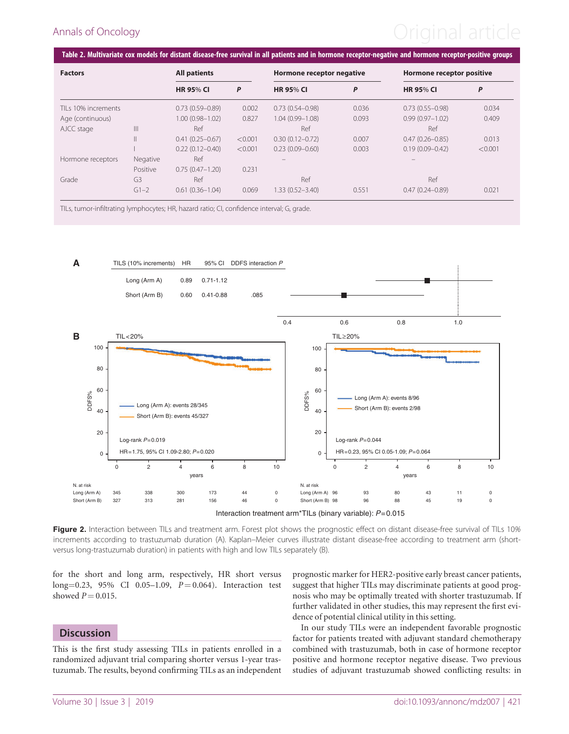## <span id="page-3-0"></span>Annals of Oncology **Annals of Oncology Annal article**

| <b>Factors</b>      |                | <b>All patients</b> |         | Hormone receptor negative |       | Hormone receptor positive |         |
|---------------------|----------------|---------------------|---------|---------------------------|-------|---------------------------|---------|
|                     |                | <b>HR 95% CI</b>    | P       | <b>HR 95% CI</b>          | P     | <b>HR 95% CI</b>          | P       |
| TILs 10% increments |                | $0.73(0.59 - 0.89)$ | 0.002   | $0.73(0.54 - 0.98)$       | 0.036 | $0.73(0.55 - 0.98)$       | 0.034   |
| Age (continuous)    |                | $1.00(0.98 - 1.02)$ | 0.827   | $1.04(0.99 - 1.08)$       | 0.093 | $0.99(0.97 - 1.02)$       | 0.409   |
| AJCC stage          | $\mathbb{H}$   | Ref                 |         | Ref                       |       | Ref                       |         |
|                     |                | $0.41(0.25 - 0.67)$ | < 0.001 | $0.30(0.12 - 0.72)$       | 0.007 | $0.47(0.26 - 0.85)$       | 0.013   |
|                     |                | $0.22(0.12 - 0.40)$ | < 0.001 | $0.23(0.09 - 0.60)$       | 0.003 | $0.19(0.09 - 0.42)$       | < 0.001 |
| Hormone receptors   | Negative       | Ref                 |         |                           |       |                           |         |
|                     | Positive       | $0.75(0.47 - 1.20)$ | 0.231   |                           |       |                           |         |
| Grade               | G <sub>3</sub> | Ref                 |         | Ref                       |       | Ref                       |         |
|                     | $G1 - 2$       | $0.61(0.36 - 1.04)$ | 0.069   | 1.33 (0.52-3.40)          | 0.551 | $0.47(0.24 - 0.89)$       | 0.021   |

TILs, tumor-infiltrating lymphocytes; HR, hazard ratio; CI, confidence interval; G, grade.



Figure 2. Interaction between TILs and treatment arm. Forest plot shows the prognostic effect on distant disease-free survival of TILs 10% increments according to trastuzumab duration (A). Kaplan–Meier curves illustrate distant disease-free according to treatment arm (shortversus long-trastuzumab duration) in patients with high and low TILs separately (B).

for the short and long arm, respectively, HR short versus  $long=0.23$ , 95% CI 0.05–1.09,  $P = 0.064$ ). Interaction test showed  $P = 0.015$ .

#### **Discussion**

This is the first study assessing TILs in patients enrolled in a randomized adjuvant trial comparing shorter versus 1-year trastuzumab. The results, beyond confirming TILs as an independent prognostic marker for HER2-positive early breast cancer patients, suggest that higher TILs may discriminate patients at good prognosis who may be optimally treated with shorter trastuzumab. If further validated in other studies, this may represent the first evidence of potential clinical utility in this setting.

In our study TILs were an independent favorable prognostic factor for patients treated with adjuvant standard chemotherapy combined with trastuzumab, both in case of hormone receptor positive and hormone receptor negative disease. Two previous studies of adjuvant trastuzumab showed conflicting results: in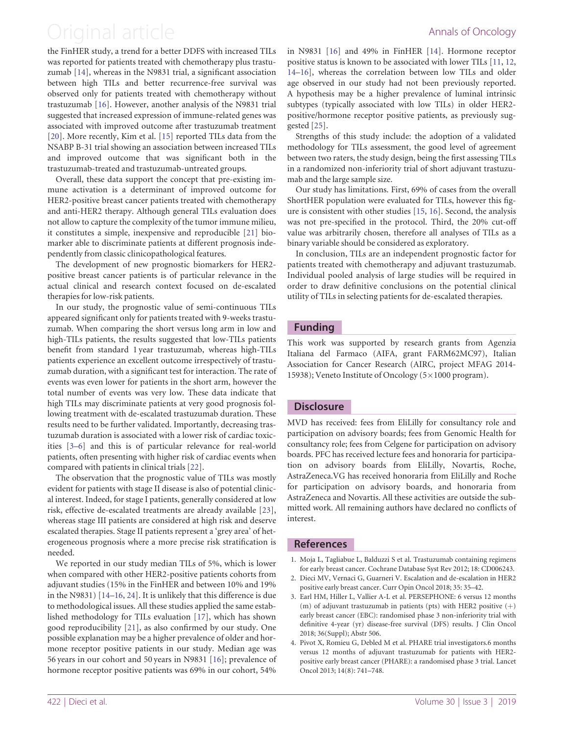### <span id="page-4-0"></span>Original article **Annals of Oncology**

the FinHER study, a trend for a better DDFS with increased TILs was reported for patients treated with chemotherapy plus trastuzumab [[14](#page-5-0)], whereas in the N9831 trial, a significant association between high TILs and better recurrence-free survival was observed only for patients treated with chemotherapy without trastuzumab [\[16\]](#page-5-0). However, another analysis of the N9831 trial suggested that increased expression of immune-related genes was associated with improved outcome after trastuzumab treatment [[20\]](#page-5-0). More recently, Kim et al. [\[15](#page-5-0)] reported TILs data from the NSABP B-31 trial showing an association between increased TILs and improved outcome that was significant both in the trastuzumab-treated and trastuzumab-untreated groups.

Overall, these data support the concept that pre-existing immune activation is a determinant of improved outcome for HER2-positive breast cancer patients treated with chemotherapy and anti-HER2 therapy. Although general TILs evaluation does not allow to capture the complexity of the tumor immune milieu, it constitutes a simple, inexpensive and reproducible [\[21](#page-5-0)] biomarker able to discriminate patients at different prognosis independently from classic clinicopathological features.

The development of new prognostic biomarkers for HER2 positive breast cancer patients is of particular relevance in the actual clinical and research context focused on de-escalated therapies for low-risk patients.

In our study, the prognostic value of semi-continuous TILs appeared significant only for patients treated with 9-weeks trastuzumab. When comparing the short versus long arm in low and high-TILs patients, the results suggested that low-TILs patients benefit from standard 1 year trastuzumab, whereas high-TILs patients experience an excellent outcome irrespectively of trastuzumab duration, with a significant test for interaction. The rate of events was even lower for patients in the short arm, however the total number of events was very low. These data indicate that high TILs may discriminate patients at very good prognosis following treatment with de-escalated trastuzumab duration. These results need to be further validated. Importantly, decreasing trastuzumab duration is associated with a lower risk of cardiac toxicities [3[–6\]](#page-5-0) and this is of particular relevance for real-world patients, often presenting with higher risk of cardiac events when compared with patients in clinical trials [[22](#page-5-0)].

The observation that the prognostic value of TILs was mostly evident for patients with stage II disease is also of potential clinical interest. Indeed, for stage I patients, generally considered at low risk, effective de-escalated treatments are already available [\[23](#page-5-0)], whereas stage III patients are considered at high risk and deserve escalated therapies. Stage II patients represent a 'grey area' of heterogeneous prognosis where a more precise risk stratification is needed.

We reported in our study median TILs of 5%, which is lower when compared with other HER2-positive patients cohorts from adjuvant studies (15% in the FinHER and between 10% and 19% in the N9831) [\[14–16](#page-5-0), [24\]](#page-5-0). It is unlikely that this difference is due to methodological issues. All these studies applied the same established methodology for TILs evaluation [\[17](#page-5-0)], which has shown good reproducibility [\[21](#page-5-0)], as also confirmed by our study. One possible explanation may be a higher prevalence of older and hormone receptor positive patients in our study. Median age was 56 years in our cohort and 50 years in N9831 [\[16](#page-5-0)]; prevalence of hormone receptor positive patients was 69% in our cohort, 54% in N9831 [\[16\]](#page-5-0) and 49% in FinHER [[14\]](#page-5-0). Hormone receptor positive status is known to be associated with lower TILs [[11,](#page-5-0) [12](#page-5-0), [14–16](#page-5-0)], whereas the correlation between low TILs and older age observed in our study had not been previously reported. A hypothesis may be a higher prevalence of luminal intrinsic subtypes (typically associated with low TILs) in older HER2 positive/hormone receptor positive patients, as previously suggested [\[25](#page-5-0)].

Strengths of this study include: the adoption of a validated methodology for TILs assessment, the good level of agreement between two raters, the study design, being the first assessing TILs in a randomized non-inferiority trial of short adjuvant trastuzumab and the large sample size.

Our study has limitations. First, 69% of cases from the overall ShortHER population were evaluated for TILs, however this figure is consistent with other studies [\[15](#page-5-0), [16](#page-5-0)]. Second, the analysis was not pre-specified in the protocol. Third, the 20% cut-off value was arbitrarily chosen, therefore all analyses of TILs as a binary variable should be considered as exploratory.

In conclusion, TILs are an independent prognostic factor for patients treated with chemotherapy and adjuvant trastuzumab. Individual pooled analysis of large studies will be required in order to draw definitive conclusions on the potential clinical utility of TILs in selecting patients for de-escalated therapies.

### Funding

This work was supported by research grants from Agenzia Italiana del Farmaco (AIFA, grant FARM62MC97), Italian Association for Cancer Research (AIRC, project MFAG 2014- 15938); Veneto Institute of Oncology  $(5\times1000$  program).

#### **Disclosure**

MVD has received: fees from EliLilly for consultancy role and participation on advisory boards; fees from Genomic Health for consultancy role; fees from Celgene for participation on advisory boards. PFC has received lecture fees and honoraria for participation on advisory boards from EliLilly, Novartis, Roche, AstraZeneca.VG has received honoraria from EliLilly and Roche for participation on advisory boards, and honoraria from AstraZeneca and Novartis. All these activities are outside the submitted work. All remaining authors have declared no conflicts of interest.

#### References

- [1.](#page-1-0) Moja L, Tagliabue L, Balduzzi S et al. Trastuzumab containing regimens for early breast cancer. Cochrane Database Syst Rev 2012; 18: CD006243.
- [2.](#page-1-0) Dieci MV, Vernaci G, Guarneri V. Escalation and de-escalation in HER2 positive early breast cancer. Curr Opin Oncol 2018; 35: 35–42.
- [3.](#page-1-0) Earl HM, Hiller L, Vallier A-L et al. PERSEPHONE: 6 versus 12 months (m) of adjuvant trastuzumab in patients (pts) with HER2 positive  $(+)$ early breast cancer (EBC): randomised phase 3 non-inferiority trial with definitive 4-year (yr) disease-free survival (DFS) results. J Clin Oncol 2018; 36(Suppl); Abstr 506.
- 4. Pivot X, Romieu G, Debled M et al. PHARE trial investigators.6 months versus 12 months of adjuvant trastuzumab for patients with HER2 positive early breast cancer (PHARE): a randomised phase 3 trial. Lancet Oncol 2013; 14(8): 741–748.